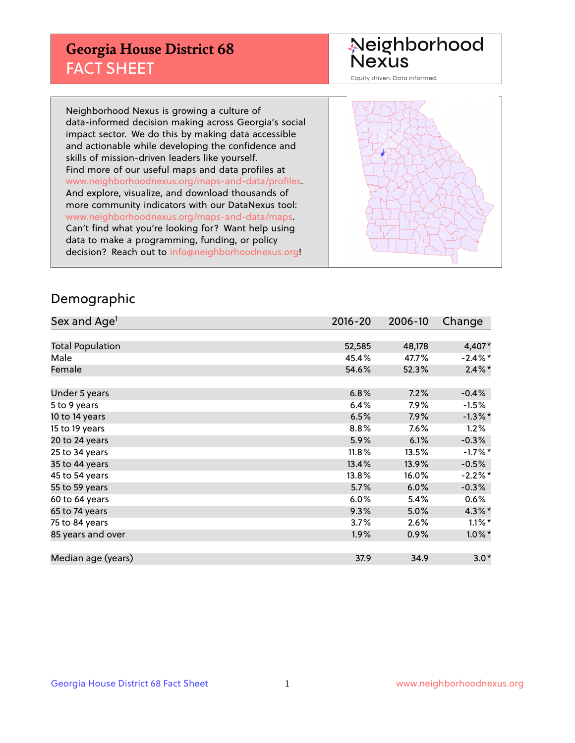## **Georgia House District 68** FACT SHEET

# Neighborhood<br>Nexus

Equity driven. Data informed.

Neighborhood Nexus is growing a culture of data-informed decision making across Georgia's social impact sector. We do this by making data accessible and actionable while developing the confidence and skills of mission-driven leaders like yourself. Find more of our useful maps and data profiles at www.neighborhoodnexus.org/maps-and-data/profiles. And explore, visualize, and download thousands of more community indicators with our DataNexus tool: www.neighborhoodnexus.org/maps-and-data/maps. Can't find what you're looking for? Want help using data to make a programming, funding, or policy decision? Reach out to [info@neighborhoodnexus.org!](mailto:info@neighborhoodnexus.org)



### Demographic

| Sex and Age <sup>1</sup> | $2016 - 20$ | 2006-10 | Change     |
|--------------------------|-------------|---------|------------|
|                          |             |         |            |
| <b>Total Population</b>  | 52,585      | 48,178  | 4,407*     |
| Male                     | 45.4%       | 47.7%   | $-2.4\%$ * |
| Female                   | 54.6%       | 52.3%   | $2.4\%$ *  |
|                          |             |         |            |
| Under 5 years            | 6.8%        | 7.2%    | $-0.4%$    |
| 5 to 9 years             | 6.4%        | 7.9%    | $-1.5%$    |
| 10 to 14 years           | 6.5%        | 7.9%    | $-1.3\%$ * |
| 15 to 19 years           | 8.8%        | 7.6%    | 1.2%       |
| 20 to 24 years           | 5.9%        | 6.1%    | $-0.3%$    |
| 25 to 34 years           | 11.8%       | 13.5%   | $-1.7%$ *  |
| 35 to 44 years           | 13.4%       | 13.9%   | $-0.5%$    |
| 45 to 54 years           | 13.8%       | 16.0%   | $-2.2%$ *  |
| 55 to 59 years           | 5.7%        | 6.0%    | $-0.3%$    |
| 60 to 64 years           | 6.0%        | 5.4%    | 0.6%       |
| 65 to 74 years           | 9.3%        | 5.0%    | $4.3\%$ *  |
| 75 to 84 years           | 3.7%        | 2.6%    | $1.1\%$ *  |
| 85 years and over        | 1.9%        | 0.9%    | $1.0\%$ *  |
|                          |             |         |            |
| Median age (years)       | 37.9        | 34.9    | $3.0*$     |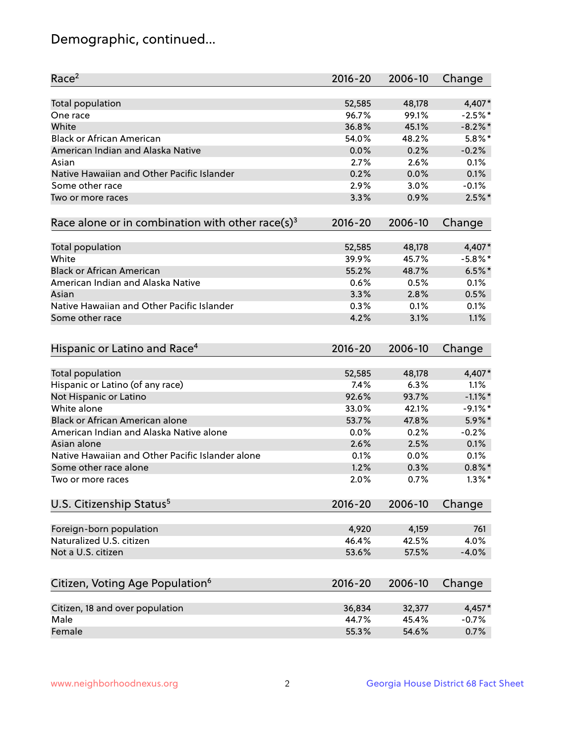## Demographic, continued...

| Race <sup>2</sup>                                            | $2016 - 20$    | 2006-10        | Change      |
|--------------------------------------------------------------|----------------|----------------|-------------|
| <b>Total population</b>                                      | 52,585         | 48,178         | 4,407*      |
| One race                                                     | 96.7%          | 99.1%          | $-2.5%$ *   |
| White                                                        | 36.8%          | 45.1%          | $-8.2\%$ *  |
| <b>Black or African American</b>                             | 54.0%          | 48.2%          | $5.8\%$ *   |
| American Indian and Alaska Native                            | 0.0%           | 0.2%           | $-0.2%$     |
| Asian                                                        | 2.7%           | 2.6%           | 0.1%        |
| Native Hawaiian and Other Pacific Islander                   | 0.2%           | 0.0%           | 0.1%        |
| Some other race                                              | 2.9%           | 3.0%           | $-0.1%$     |
| Two or more races                                            | 3.3%           | 0.9%           | $2.5%$ *    |
| Race alone or in combination with other race(s) <sup>3</sup> | $2016 - 20$    | 2006-10        | Change      |
| Total population                                             | 52,585         | 48,178         | 4,407*      |
| White                                                        | 39.9%          | 45.7%          | $-5.8\%$ *  |
| <b>Black or African American</b>                             | 55.2%          | 48.7%          | $6.5%$ *    |
| American Indian and Alaska Native                            | 0.6%           | 0.5%           | 0.1%        |
| Asian                                                        | 3.3%           | 2.8%           | 0.5%        |
| Native Hawaiian and Other Pacific Islander                   | 0.3%           | 0.1%           | 0.1%        |
| Some other race                                              | 4.2%           | 3.1%           | 1.1%        |
| Hispanic or Latino and Race <sup>4</sup>                     | $2016 - 20$    | 2006-10        | Change      |
| <b>Total population</b>                                      | 52,585         | 48,178         | 4,407*      |
| Hispanic or Latino (of any race)                             | 7.4%           | 6.3%           | 1.1%        |
| Not Hispanic or Latino                                       | 92.6%          | 93.7%          | $-1.1\%$ *  |
| White alone                                                  | 33.0%          | 42.1%          | $-9.1\%$ *  |
| <b>Black or African American alone</b>                       | 53.7%          | 47.8%          | 5.9%*       |
| American Indian and Alaska Native alone                      | 0.0%           | 0.2%           | $-0.2%$     |
| Asian alone                                                  | 2.6%           | 2.5%           | 0.1%        |
| Native Hawaiian and Other Pacific Islander alone             | 0.1%           | 0.0%           | 0.1%        |
| Some other race alone                                        | 1.2%           | 0.3%           | $0.8\%$ *   |
| Two or more races                                            | 2.0%           | 0.7%           | $1.3\%$ *   |
| U.S. Citizenship Status <sup>5</sup>                         | $2016 - 20$    | 2006-10        | Change      |
|                                                              |                |                |             |
| Foreign-born population<br>Naturalized U.S. citizen          | 4,920<br>46.4% | 4,159<br>42.5% | 761<br>4.0% |
|                                                              |                |                |             |
| Not a U.S. citizen                                           | 53.6%          | 57.5%          | $-4.0%$     |
| Citizen, Voting Age Population <sup>6</sup>                  | $2016 - 20$    | 2006-10        | Change      |
| Citizen, 18 and over population                              | 36,834         | 32,377         | 4,457*      |
| Male                                                         | 44.7%          | 45.4%          | $-0.7%$     |
| Female                                                       | 55.3%          | 54.6%          | 0.7%        |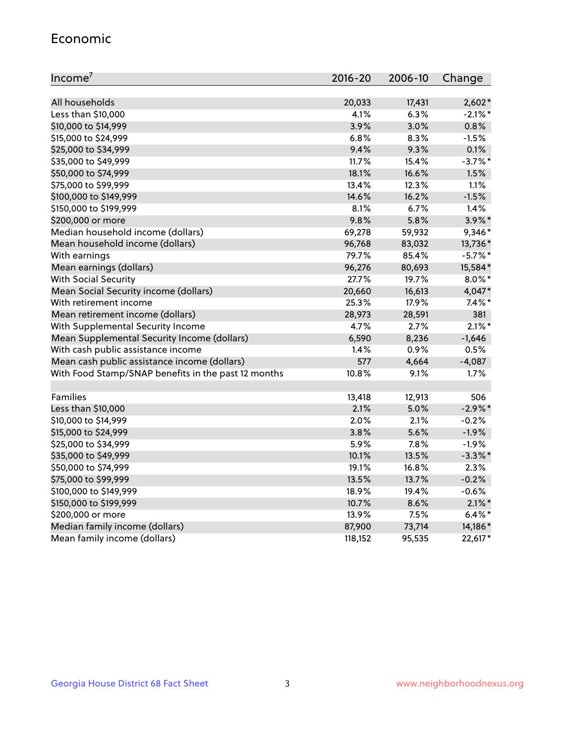#### Economic

| Income <sup>7</sup>                                 | $2016 - 20$ | 2006-10 | Change     |
|-----------------------------------------------------|-------------|---------|------------|
|                                                     |             |         |            |
| All households                                      | 20,033      | 17,431  | $2,602*$   |
| Less than \$10,000                                  | 4.1%        | 6.3%    | $-2.1\%$ * |
| \$10,000 to \$14,999                                | 3.9%        | 3.0%    | 0.8%       |
| \$15,000 to \$24,999                                | 6.8%        | 8.3%    | $-1.5%$    |
| \$25,000 to \$34,999                                | 9.4%        | 9.3%    | 0.1%       |
| \$35,000 to \$49,999                                | 11.7%       | 15.4%   | $-3.7\%$ * |
| \$50,000 to \$74,999                                | 18.1%       | 16.6%   | 1.5%       |
| \$75,000 to \$99,999                                | 13.4%       | 12.3%   | 1.1%       |
| \$100,000 to \$149,999                              | 14.6%       | 16.2%   | $-1.5%$    |
| \$150,000 to \$199,999                              | 8.1%        | 6.7%    | 1.4%       |
| \$200,000 or more                                   | 9.8%        | 5.8%    | $3.9\%$ *  |
| Median household income (dollars)                   | 69,278      | 59,932  | 9,346*     |
| Mean household income (dollars)                     | 96,768      | 83,032  | 13,736*    |
| With earnings                                       | 79.7%       | 85.4%   | $-5.7\%$ * |
| Mean earnings (dollars)                             | 96,276      | 80,693  | 15,584*    |
| <b>With Social Security</b>                         | 27.7%       | 19.7%   | $8.0\%$ *  |
| Mean Social Security income (dollars)               | 20,660      | 16,613  | 4,047*     |
| With retirement income                              | 25.3%       | 17.9%   | $7.4\%$ *  |
| Mean retirement income (dollars)                    | 28,973      | 28,591  | 381        |
| With Supplemental Security Income                   | 4.7%        | 2.7%    | $2.1\%$ *  |
| Mean Supplemental Security Income (dollars)         | 6,590       | 8,236   | $-1,646$   |
| With cash public assistance income                  | 1.4%        | 0.9%    | 0.5%       |
| Mean cash public assistance income (dollars)        | 577         | 4,664   | $-4,087$   |
| With Food Stamp/SNAP benefits in the past 12 months | 10.8%       | 9.1%    | 1.7%       |
|                                                     |             |         |            |
| Families                                            | 13,418      | 12,913  | 506        |
| Less than \$10,000                                  | 2.1%        | 5.0%    | $-2.9%$ *  |
| \$10,000 to \$14,999                                | 2.0%        | 2.1%    | $-0.2%$    |
| \$15,000 to \$24,999                                | 3.8%        | 5.6%    | $-1.9%$    |
| \$25,000 to \$34,999                                | 5.9%        | 7.8%    | $-1.9%$    |
| \$35,000 to \$49,999                                | 10.1%       | 13.5%   | $-3.3\%$ * |
| \$50,000 to \$74,999                                | 19.1%       | 16.8%   | 2.3%       |
| \$75,000 to \$99,999                                | 13.5%       | 13.7%   | $-0.2%$    |
| \$100,000 to \$149,999                              | 18.9%       | 19.4%   | $-0.6%$    |
| \$150,000 to \$199,999                              | 10.7%       | 8.6%    | $2.1\%$ *  |
| \$200,000 or more                                   | 13.9%       | 7.5%    | $6.4\%$ *  |
| Median family income (dollars)                      | 87,900      | 73,714  | 14,186*    |
| Mean family income (dollars)                        | 118,152     | 95,535  | 22,617*    |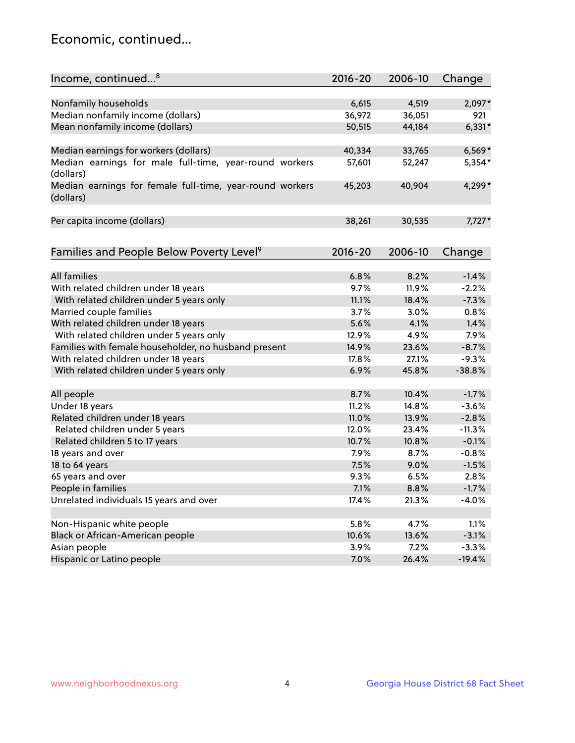## Economic, continued...

| Income, continued <sup>8</sup>                                        | $2016 - 20$ | 2006-10 | Change   |
|-----------------------------------------------------------------------|-------------|---------|----------|
|                                                                       |             |         |          |
| Nonfamily households                                                  | 6,615       | 4,519   | 2,097*   |
| Median nonfamily income (dollars)                                     | 36,972      | 36,051  | 921      |
| Mean nonfamily income (dollars)                                       | 50,515      | 44,184  | $6,331*$ |
| Median earnings for workers (dollars)                                 | 40,334      | 33,765  | $6,569*$ |
| Median earnings for male full-time, year-round workers                | 57,601      | 52,247  | 5,354*   |
| (dollars)                                                             |             |         |          |
| Median earnings for female full-time, year-round workers<br>(dollars) | 45,203      | 40,904  | 4,299*   |
| Per capita income (dollars)                                           | 38,261      | 30,535  | $7,727*$ |
|                                                                       |             |         |          |
| Families and People Below Poverty Level <sup>9</sup>                  | 2016-20     | 2006-10 | Change   |
|                                                                       |             |         |          |
| <b>All families</b>                                                   | 6.8%        | 8.2%    | $-1.4%$  |
| With related children under 18 years                                  | 9.7%        | 11.9%   | $-2.2%$  |
| With related children under 5 years only                              | 11.1%       | 18.4%   | $-7.3%$  |
| Married couple families                                               | 3.7%        | 3.0%    | 0.8%     |
| With related children under 18 years                                  | 5.6%        | 4.1%    | 1.4%     |
| With related children under 5 years only                              | 12.9%       | 4.9%    | 7.9%     |
| Families with female householder, no husband present                  | 14.9%       | 23.6%   | $-8.7%$  |
| With related children under 18 years                                  | 17.8%       | 27.1%   | $-9.3%$  |
| With related children under 5 years only                              | 6.9%        | 45.8%   | $-38.8%$ |
|                                                                       |             |         |          |
| All people                                                            | 8.7%        | 10.4%   | $-1.7%$  |
| Under 18 years                                                        | 11.2%       | 14.8%   | $-3.6%$  |
| Related children under 18 years                                       | 11.0%       | 13.9%   | $-2.8%$  |
| Related children under 5 years                                        | 12.0%       | 23.4%   | $-11.3%$ |
| Related children 5 to 17 years                                        | 10.7%       | 10.8%   | $-0.1%$  |
| 18 years and over                                                     | 7.9%        | 8.7%    | $-0.8%$  |
| 18 to 64 years                                                        | 7.5%        | 9.0%    | $-1.5%$  |
| 65 years and over                                                     | 9.3%        | 6.5%    | 2.8%     |
| People in families                                                    | 7.1%        | 8.8%    | $-1.7%$  |
| Unrelated individuals 15 years and over                               | 17.4%       | 21.3%   | $-4.0%$  |
|                                                                       |             |         |          |
| Non-Hispanic white people                                             | 5.8%        | 4.7%    | 1.1%     |
| Black or African-American people                                      | 10.6%       | 13.6%   | $-3.1%$  |
| Asian people                                                          | 3.9%        | 7.2%    | $-3.3%$  |
| Hispanic or Latino people                                             | 7.0%        | 26.4%   | $-19.4%$ |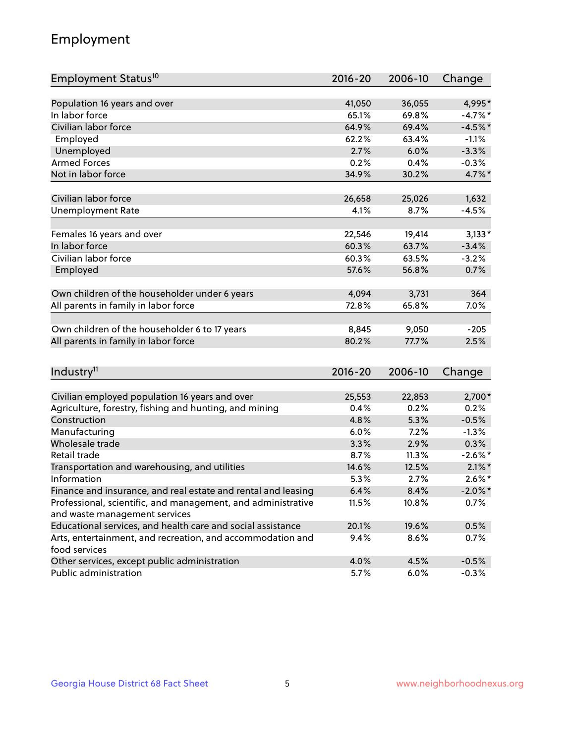## Employment

| Employment Status <sup>10</sup>                                                               | $2016 - 20$ | 2006-10 | Change     |
|-----------------------------------------------------------------------------------------------|-------------|---------|------------|
|                                                                                               |             |         |            |
| Population 16 years and over                                                                  | 41,050      | 36,055  | 4,995*     |
| In labor force                                                                                | 65.1%       | 69.8%   | $-4.7%$ *  |
| Civilian labor force                                                                          | 64.9%       | 69.4%   | $-4.5%$ *  |
| Employed                                                                                      | 62.2%       | 63.4%   | $-1.1%$    |
| Unemployed                                                                                    | 2.7%        | 6.0%    | $-3.3%$    |
| <b>Armed Forces</b>                                                                           | 0.2%        | 0.4%    | $-0.3%$    |
| Not in labor force                                                                            | 34.9%       | 30.2%   | 4.7%*      |
| Civilian labor force                                                                          | 26,658      |         | 1,632      |
|                                                                                               |             | 25,026  |            |
| <b>Unemployment Rate</b>                                                                      | 4.1%        | 8.7%    | $-4.5%$    |
| Females 16 years and over                                                                     | 22,546      | 19,414  | $3,133*$   |
| In labor force                                                                                | 60.3%       | 63.7%   | $-3.4%$    |
| Civilian labor force                                                                          | 60.3%       | 63.5%   | $-3.2%$    |
| Employed                                                                                      | 57.6%       | 56.8%   | 0.7%       |
|                                                                                               |             |         |            |
| Own children of the householder under 6 years                                                 | 4,094       | 3,731   | 364        |
| All parents in family in labor force                                                          | 72.8%       | 65.8%   | 7.0%       |
| Own children of the householder 6 to 17 years                                                 | 8,845       | 9,050   | $-205$     |
| All parents in family in labor force                                                          | 80.2%       | 77.7%   | 2.5%       |
|                                                                                               |             |         |            |
| Industry <sup>11</sup>                                                                        | $2016 - 20$ | 2006-10 | Change     |
|                                                                                               |             |         |            |
| Civilian employed population 16 years and over                                                | 25,553      | 22,853  | 2,700*     |
| Agriculture, forestry, fishing and hunting, and mining                                        | 0.4%        | 0.2%    | 0.2%       |
| Construction                                                                                  | 4.8%        | 5.3%    | $-0.5%$    |
| Manufacturing                                                                                 | 6.0%        | 7.2%    | $-1.3%$    |
| Wholesale trade                                                                               | 3.3%        | 2.9%    | 0.3%       |
| Retail trade                                                                                  | 8.7%        | 11.3%   | $-2.6\%$ * |
| Transportation and warehousing, and utilities                                                 | 14.6%       | 12.5%   | $2.1\%$ *  |
| Information                                                                                   | 5.3%        | 2.7%    | $2.6\%$ *  |
| Finance and insurance, and real estate and rental and leasing                                 | 6.4%        | 8.4%    | $-2.0\%$ * |
| Professional, scientific, and management, and administrative<br>and waste management services | 11.5%       | 10.8%   | 0.7%       |
| Educational services, and health care and social assistance                                   | 20.1%       | 19.6%   | 0.5%       |
| Arts, entertainment, and recreation, and accommodation and                                    | $9.4\%$     | 8.6%    | 0.7%       |
| food services                                                                                 |             |         |            |
| Other services, except public administration                                                  | 4.0%        | 4.5%    | $-0.5%$    |
| Public administration                                                                         | 5.7%        | 6.0%    | $-0.3%$    |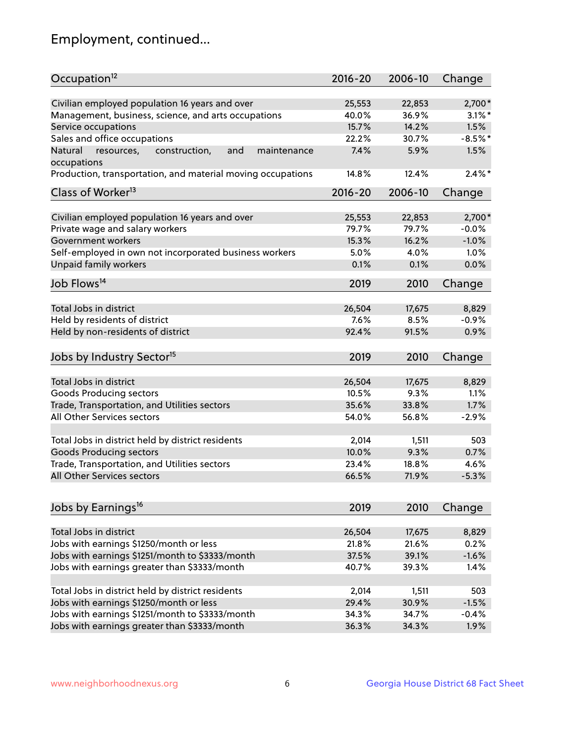## Employment, continued...

| Occupation <sup>12</sup>                                                    | $2016 - 20$ | 2006-10 | Change    |
|-----------------------------------------------------------------------------|-------------|---------|-----------|
| Civilian employed population 16 years and over                              | 25,553      | 22,853  | $2,700*$  |
|                                                                             | 40.0%       | 36.9%   | $3.1\%$ * |
| Management, business, science, and arts occupations<br>Service occupations  | 15.7%       | 14.2%   | 1.5%      |
|                                                                             |             |         | $-8.5%$ * |
| Sales and office occupations                                                | 22.2%       | 30.7%   |           |
| and<br>Natural<br>resources,<br>construction,<br>maintenance<br>occupations | 7.4%        | 5.9%    | 1.5%      |
| Production, transportation, and material moving occupations                 | 14.8%       | 12.4%   | $2.4\%$ * |
| Class of Worker <sup>13</sup>                                               | $2016 - 20$ | 2006-10 | Change    |
|                                                                             |             |         |           |
| Civilian employed population 16 years and over                              | 25,553      | 22,853  | 2,700*    |
| Private wage and salary workers                                             | 79.7%       | 79.7%   | $-0.0%$   |
| Government workers                                                          | 15.3%       | 16.2%   | $-1.0%$   |
| Self-employed in own not incorporated business workers                      | 5.0%        | 4.0%    | 1.0%      |
| Unpaid family workers                                                       | 0.1%        | 0.1%    | 0.0%      |
| Job Flows <sup>14</sup>                                                     | 2019        | 2010    | Change    |
|                                                                             |             |         |           |
| Total Jobs in district                                                      | 26,504      | 17,675  | 8,829     |
| Held by residents of district                                               | 7.6%        | 8.5%    | $-0.9%$   |
| Held by non-residents of district                                           | 92.4%       | 91.5%   | 0.9%      |
|                                                                             |             |         |           |
| Jobs by Industry Sector <sup>15</sup>                                       | 2019        | 2010    | Change    |
| Total Jobs in district                                                      | 26,504      | 17,675  | 8,829     |
| Goods Producing sectors                                                     | 10.5%       | 9.3%    | 1.1%      |
| Trade, Transportation, and Utilities sectors                                | 35.6%       | 33.8%   | 1.7%      |
| All Other Services sectors                                                  | 54.0%       | 56.8%   | $-2.9%$   |
|                                                                             |             |         |           |
| Total Jobs in district held by district residents                           | 2,014       | 1,511   | 503       |
| <b>Goods Producing sectors</b>                                              | 10.0%       | 9.3%    | 0.7%      |
| Trade, Transportation, and Utilities sectors                                | 23.4%       | 18.8%   | 4.6%      |
| All Other Services sectors                                                  | 66.5%       | 71.9%   | $-5.3%$   |
|                                                                             |             |         |           |
| Jobs by Earnings <sup>16</sup>                                              | 2019        | 2010    | Change    |
|                                                                             |             |         |           |
| Total Jobs in district                                                      | 26,504      | 17,675  | 8,829     |
| Jobs with earnings \$1250/month or less                                     | 21.8%       | 21.6%   | 0.2%      |
| Jobs with earnings \$1251/month to \$3333/month                             | 37.5%       | 39.1%   | $-1.6%$   |
| Jobs with earnings greater than \$3333/month                                | 40.7%       | 39.3%   | 1.4%      |
| Total Jobs in district held by district residents                           | 2,014       | 1,511   | 503       |
| Jobs with earnings \$1250/month or less                                     | 29.4%       | 30.9%   | $-1.5%$   |
| Jobs with earnings \$1251/month to \$3333/month                             | 34.3%       | 34.7%   | $-0.4%$   |
| Jobs with earnings greater than \$3333/month                                | 36.3%       | 34.3%   | 1.9%      |
|                                                                             |             |         |           |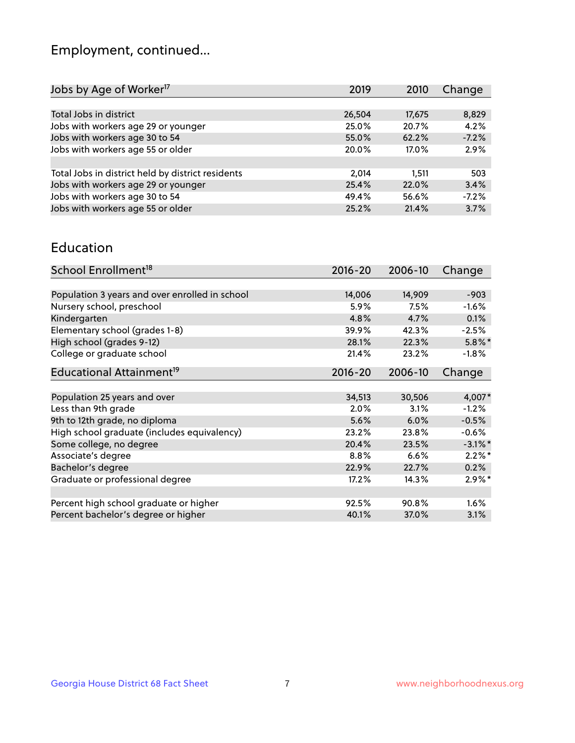## Employment, continued...

| 2019   | 2010   | Change  |
|--------|--------|---------|
|        |        |         |
| 26,504 | 17,675 | 8,829   |
| 25.0%  | 20.7%  | 4.2%    |
| 55.0%  | 62.2%  | $-7.2%$ |
| 20.0%  | 17.0%  | 2.9%    |
|        |        |         |
| 2.014  | 1.511  | 503     |
| 25.4%  | 22.0%  | 3.4%    |
| 49.4%  | 56.6%  | $-7.2%$ |
| 25.2%  | 21.4%  | 3.7%    |
|        |        |         |

#### Education

| School Enrollment <sup>18</sup>                | $2016 - 20$ | 2006-10 | Change     |
|------------------------------------------------|-------------|---------|------------|
|                                                |             |         |            |
| Population 3 years and over enrolled in school | 14,006      | 14,909  | $-903$     |
| Nursery school, preschool                      | 5.9%        | 7.5%    | $-1.6%$    |
| Kindergarten                                   | 4.8%        | 4.7%    | 0.1%       |
| Elementary school (grades 1-8)                 | 39.9%       | 42.3%   | $-2.5%$    |
| High school (grades 9-12)                      | 28.1%       | 22.3%   | $5.8\%$ *  |
| College or graduate school                     | 21.4%       | 23.2%   | $-1.8%$    |
| Educational Attainment <sup>19</sup>           | $2016 - 20$ | 2006-10 | Change     |
|                                                |             |         |            |
| Population 25 years and over                   | 34,513      | 30,506  | $4,007*$   |
| Less than 9th grade                            | 2.0%        | 3.1%    | $-1.2%$    |
| 9th to 12th grade, no diploma                  | 5.6%        | 6.0%    | $-0.5%$    |
| High school graduate (includes equivalency)    | 23.2%       | 23.8%   | $-0.6\%$   |
| Some college, no degree                        | 20.4%       | 23.5%   | $-3.1\%$ * |
| Associate's degree                             | 8.8%        | 6.6%    | $2.2\%$ *  |
| Bachelor's degree                              | 22.9%       | 22.7%   | 0.2%       |
| Graduate or professional degree                | 17.2%       | 14.3%   | $2.9\%*$   |
|                                                |             |         |            |
| Percent high school graduate or higher         | 92.5%       | 90.8%   | 1.6%       |
| Percent bachelor's degree or higher            | 40.1%       | 37.0%   | 3.1%       |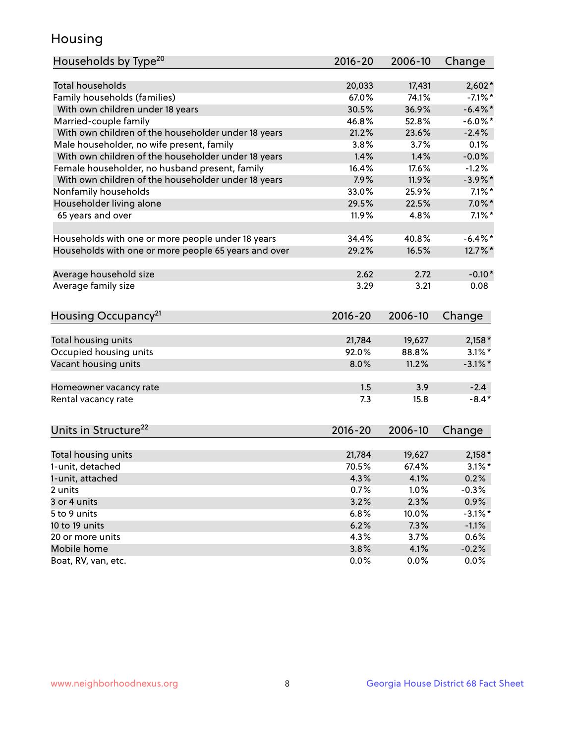## Housing

| Households by Type <sup>20</sup>                     | 2016-20     | 2006-10         | Change     |
|------------------------------------------------------|-------------|-----------------|------------|
|                                                      |             |                 |            |
| <b>Total households</b>                              | 20,033      | 17,431          | $2,602*$   |
| Family households (families)                         | 67.0%       | 74.1%           | $-7.1\%$ * |
| With own children under 18 years                     | 30.5%       | 36.9%           | $-6.4\%$ * |
| Married-couple family                                | 46.8%       | 52.8%           | $-6.0\%$ * |
| With own children of the householder under 18 years  | 21.2%       | 23.6%           | $-2.4%$    |
| Male householder, no wife present, family            | 3.8%        | 3.7%            | 0.1%       |
| With own children of the householder under 18 years  | 1.4%        | 1.4%            | $-0.0%$    |
| Female householder, no husband present, family       | 16.4%       | 17.6%           | $-1.2%$    |
| With own children of the householder under 18 years  | 7.9%        | 11.9%           | $-3.9\%$ * |
| Nonfamily households                                 | 33.0%       | 25.9%           | $7.1\%$ *  |
| Householder living alone                             | 29.5%       | 22.5%           | $7.0\%$ *  |
| 65 years and over                                    | 11.9%       | 4.8%            | $7.1\%$ *  |
|                                                      |             |                 |            |
| Households with one or more people under 18 years    | 34.4%       | 40.8%           | $-6.4\%$ * |
| Households with one or more people 65 years and over | 29.2%       | 16.5%           | 12.7%*     |
| Average household size                               | 2.62        | 2.72            | $-0.10*$   |
|                                                      | 3.29        | 3.21            | 0.08       |
| Average family size                                  |             |                 |            |
| Housing Occupancy <sup>21</sup>                      | $2016 - 20$ | 2006-10         | Change     |
| Total housing units                                  | 21,784      | 19,627          | $2,158*$   |
| Occupied housing units                               | 92.0%       | 88.8%           | $3.1\%$ *  |
| Vacant housing units                                 | 8.0%        | 11.2%           | $-3.1\%$ * |
|                                                      |             |                 |            |
| Homeowner vacancy rate                               | 1.5         | 3.9             | $-2.4$     |
| Rental vacancy rate                                  | 7.3         | 15.8            | $-8.4*$    |
| Units in Structure <sup>22</sup>                     | $2016 - 20$ | 2006-10         | Change     |
|                                                      |             |                 |            |
| Total housing units                                  | 21,784      | 19,627<br>67.4% | $2,158*$   |
| 1-unit, detached                                     | 70.5%       |                 | $3.1\%$ *  |
| 1-unit, attached                                     | 4.3%        | 4.1%            | 0.2%       |
| 2 units                                              | 0.7%        | 1.0%            | $-0.3%$    |
| 3 or 4 units                                         | 3.2%        | 2.3%            | 0.9%       |
| 5 to 9 units                                         | 6.8%        | 10.0%           | $-3.1\%$ * |
| 10 to 19 units                                       | 6.2%        | 7.3%            | $-1.1%$    |
| 20 or more units                                     | 4.3%        | 3.7%            | 0.6%       |
| Mobile home                                          | 3.8%        | 4.1%            | $-0.2%$    |
| Boat, RV, van, etc.                                  | 0.0%        | 0.0%            | 0.0%       |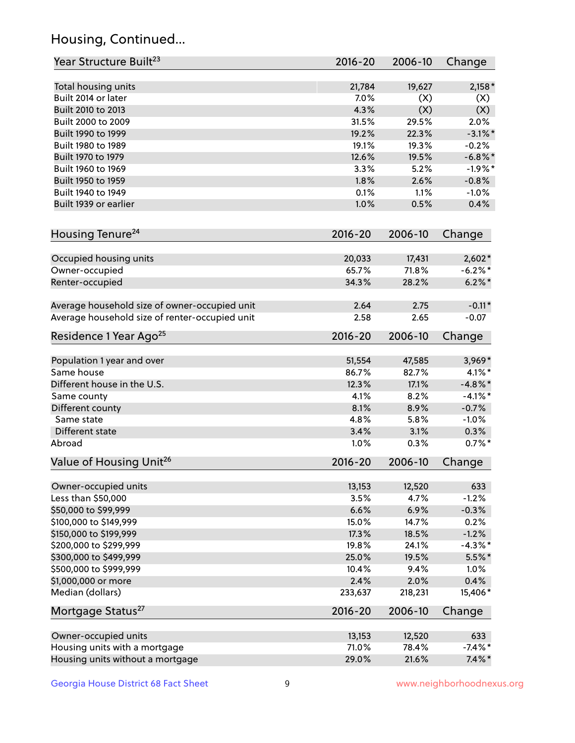## Housing, Continued...

| Year Structure Built <sup>23</sup>             | 2016-20     | 2006-10 | Change     |
|------------------------------------------------|-------------|---------|------------|
| Total housing units                            | 21,784      | 19,627  | $2,158*$   |
| Built 2014 or later                            | 7.0%        | (X)     | (X)        |
| Built 2010 to 2013                             | 4.3%        | (X)     | (X)        |
| Built 2000 to 2009                             | 31.5%       | 29.5%   | 2.0%       |
| Built 1990 to 1999                             | 19.2%       | 22.3%   | $-3.1\%$ * |
| Built 1980 to 1989                             | 19.1%       | 19.3%   | $-0.2%$    |
| Built 1970 to 1979                             | 12.6%       | 19.5%   | $-6.8\%$ * |
| Built 1960 to 1969                             | 3.3%        | 5.2%    | $-1.9%$ *  |
| Built 1950 to 1959                             | 1.8%        | 2.6%    | $-0.8%$    |
| Built 1940 to 1949                             | 0.1%        | 1.1%    | $-1.0%$    |
| Built 1939 or earlier                          | 1.0%        | 0.5%    | 0.4%       |
| Housing Tenure <sup>24</sup>                   | $2016 - 20$ | 2006-10 | Change     |
| Occupied housing units                         | 20,033      | 17,431  | $2,602*$   |
| Owner-occupied                                 | 65.7%       | 71.8%   | $-6.2\%$ * |
| Renter-occupied                                | 34.3%       | 28.2%   | $6.2\% *$  |
| Average household size of owner-occupied unit  | 2.64        | 2.75    | $-0.11*$   |
| Average household size of renter-occupied unit | 2.58        | 2.65    | $-0.07$    |
| Residence 1 Year Ago <sup>25</sup>             | $2016 - 20$ | 2006-10 | Change     |
| Population 1 year and over                     | 51,554      | 47,585  | 3,969*     |
| Same house                                     | 86.7%       | 82.7%   | $4.1\%$ *  |
| Different house in the U.S.                    | 12.3%       | 17.1%   | $-4.8\%$ * |
| Same county                                    | 4.1%        | 8.2%    | $-4.1%$ *  |
| Different county                               | 8.1%        | 8.9%    | $-0.7%$    |
| Same state                                     | 4.8%        | 5.8%    | $-1.0%$    |
| Different state                                | 3.4%        | 3.1%    | 0.3%       |
| Abroad                                         | 1.0%        | 0.3%    | $0.7\%$ *  |
| Value of Housing Unit <sup>26</sup>            | $2016 - 20$ | 2006-10 | Change     |
| Owner-occupied units                           | 13,153      | 12,520  | 633        |
| Less than \$50,000                             | 3.5%        | 4.7%    | $-1.2%$    |
| \$50,000 to \$99,999                           | 6.6%        | 6.9%    | $-0.3%$    |
| \$100,000 to \$149,999                         | 15.0%       | 14.7%   | 0.2%       |
| \$150,000 to \$199,999                         | 17.3%       | 18.5%   | $-1.2%$    |
| \$200,000 to \$299,999                         | 19.8%       | 24.1%   | $-4.3\%$ * |
| \$300,000 to \$499,999                         | 25.0%       | 19.5%   | $5.5%$ *   |
| \$500,000 to \$999,999                         | 10.4%       | 9.4%    | 1.0%       |
| \$1,000,000 or more                            | 2.4%        | 2.0%    | 0.4%       |
| Median (dollars)                               | 233,637     | 218,231 | 15,406*    |
| Mortgage Status <sup>27</sup>                  | $2016 - 20$ | 2006-10 | Change     |
| Owner-occupied units                           | 13,153      | 12,520  | 633        |
| Housing units with a mortgage                  | 71.0%       | 78.4%   | $-7.4\%$ * |
| Housing units without a mortgage               | 29.0%       | 21.6%   | $7.4\%$ *  |
|                                                |             |         |            |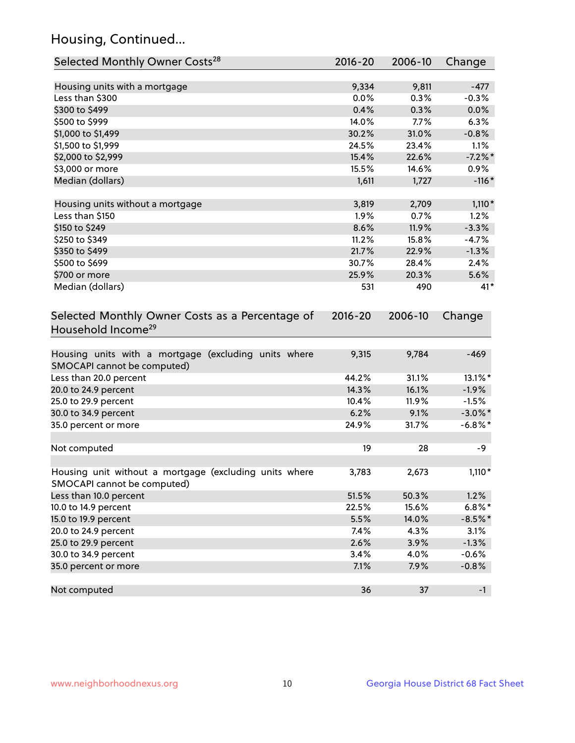## Housing, Continued...

| Selected Monthly Owner Costs <sup>28</sup>                                            | 2016-20     | 2006-10 | Change     |
|---------------------------------------------------------------------------------------|-------------|---------|------------|
| Housing units with a mortgage                                                         | 9,334       | 9,811   | $-477$     |
| Less than \$300                                                                       | 0.0%        | 0.3%    | $-0.3%$    |
| \$300 to \$499                                                                        | 0.4%        | 0.3%    | 0.0%       |
| \$500 to \$999                                                                        | 14.0%       | 7.7%    | 6.3%       |
| \$1,000 to \$1,499                                                                    | 30.2%       | 31.0%   | $-0.8%$    |
| \$1,500 to \$1,999                                                                    | 24.5%       | 23.4%   | 1.1%       |
| \$2,000 to \$2,999                                                                    | 15.4%       | 22.6%   | $-7.2%$    |
| \$3,000 or more                                                                       | 15.5%       | 14.6%   | 0.9%       |
| Median (dollars)                                                                      | 1,611       | 1,727   | $-116*$    |
|                                                                                       |             |         |            |
| Housing units without a mortgage                                                      | 3,819       | 2,709   | $1,110*$   |
| Less than \$150                                                                       | 1.9%        | 0.7%    | 1.2%       |
| \$150 to \$249                                                                        | 8.6%        | 11.9%   | $-3.3%$    |
| \$250 to \$349                                                                        | 11.2%       | 15.8%   | $-4.7%$    |
| \$350 to \$499                                                                        | 21.7%       | 22.9%   | $-1.3%$    |
| \$500 to \$699                                                                        | 30.7%       | 28.4%   | 2.4%       |
| \$700 or more                                                                         | 25.9%       | 20.3%   | 5.6%       |
| Median (dollars)                                                                      | 531         | 490     | $41*$      |
| Selected Monthly Owner Costs as a Percentage of<br>Household Income <sup>29</sup>     | $2016 - 20$ | 2006-10 | Change     |
| Housing units with a mortgage (excluding units where<br>SMOCAPI cannot be computed)   | 9,315       | 9,784   | $-469$     |
| Less than 20.0 percent                                                                | 44.2%       | 31.1%   | 13.1%*     |
| 20.0 to 24.9 percent                                                                  | 14.3%       | 16.1%   | $-1.9%$    |
| 25.0 to 29.9 percent                                                                  | 10.4%       | 11.9%   | $-1.5%$    |
| 30.0 to 34.9 percent                                                                  | 6.2%        | 9.1%    | $-3.0\%$ * |
| 35.0 percent or more                                                                  | 24.9%       | 31.7%   | $-6.8\%$ * |
| Not computed                                                                          | 19          | 28      | -9         |
| Housing unit without a mortgage (excluding units where<br>SMOCAPI cannot be computed) | 3,783       | 2,673   | $1,110*$   |
| Less than 10.0 percent                                                                | 51.5%       | 50.3%   | 1.2%       |
| 10.0 to 14.9 percent                                                                  | 22.5%       | 15.6%   | $6.8\%$ *  |
| 15.0 to 19.9 percent                                                                  | 5.5%        | 14.0%   | $-8.5%$ *  |
| 20.0 to 24.9 percent                                                                  | 7.4%        | 4.3%    | 3.1%       |
| 25.0 to 29.9 percent                                                                  | 2.6%        | 3.9%    | $-1.3%$    |
| 30.0 to 34.9 percent                                                                  | 3.4%        | 4.0%    | $-0.6%$    |
| 35.0 percent or more                                                                  | 7.1%        | 7.9%    | $-0.8%$    |
| Not computed                                                                          | 36          | 37      | $-1$       |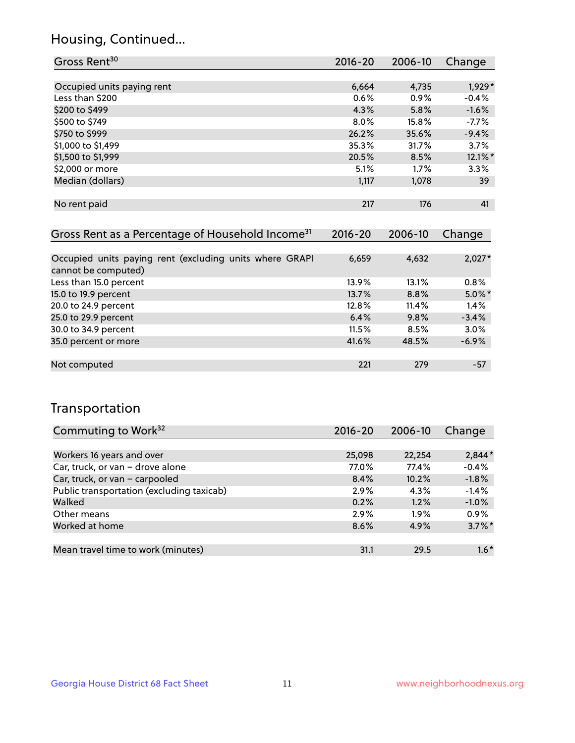## Housing, Continued...

| Gross Rent <sup>30</sup>   | 2016-20 | 2006-10 | Change  |
|----------------------------|---------|---------|---------|
|                            |         |         |         |
| Occupied units paying rent | 6,664   | 4,735   | 1,929*  |
| Less than \$200            | 0.6%    | 0.9%    | $-0.4%$ |
| \$200 to \$499             | 4.3%    | 5.8%    | $-1.6%$ |
| \$500 to \$749             | $8.0\%$ | 15.8%   | $-7.7%$ |
| \$750 to \$999             | 26.2%   | 35.6%   | $-9.4%$ |
| \$1,000 to \$1,499         | 35.3%   | 31.7%   | 3.7%    |
| \$1,500 to \$1,999         | 20.5%   | 8.5%    | 12.1%*  |
| \$2,000 or more            | 5.1%    | 1.7%    | 3.3%    |
| Median (dollars)           | 1,117   | 1,078   | 39      |
|                            |         |         |         |
| No rent paid               | 217     | 176     | 41      |
|                            |         |         |         |

| Gross Rent as a Percentage of Household Income <sup>31</sup>                   | $2016 - 20$ | 2006-10 | Change    |
|--------------------------------------------------------------------------------|-------------|---------|-----------|
|                                                                                |             |         |           |
| Occupied units paying rent (excluding units where GRAPI<br>cannot be computed) | 6,659       | 4,632   | $2,027*$  |
| Less than 15.0 percent                                                         | 13.9%       | 13.1%   | 0.8%      |
| 15.0 to 19.9 percent                                                           | 13.7%       | 8.8%    | $5.0\%$ * |
| 20.0 to 24.9 percent                                                           | 12.8%       | 11.4%   | 1.4%      |
| 25.0 to 29.9 percent                                                           | 6.4%        | 9.8%    | $-3.4%$   |
| 30.0 to 34.9 percent                                                           | 11.5%       | 8.5%    | 3.0%      |
| 35.0 percent or more                                                           | 41.6%       | 48.5%   | $-6.9%$   |
|                                                                                |             |         |           |
| Not computed                                                                   | 221         | 279     | $-57$     |

## Transportation

| Commuting to Work <sup>32</sup>           | 2016-20 | 2006-10 | Change    |
|-------------------------------------------|---------|---------|-----------|
|                                           |         |         |           |
| Workers 16 years and over                 | 25,098  | 22,254  | $2,844*$  |
| Car, truck, or van - drove alone          | 77.0%   | 77.4%   | $-0.4%$   |
| Car, truck, or van - carpooled            | 8.4%    | 10.2%   | $-1.8%$   |
| Public transportation (excluding taxicab) | 2.9%    | 4.3%    | $-1.4%$   |
| Walked                                    | 0.2%    | 1.2%    | $-1.0%$   |
| Other means                               | 2.9%    | $1.9\%$ | 0.9%      |
| Worked at home                            | 8.6%    | 4.9%    | $3.7\%$ * |
|                                           |         |         |           |
| Mean travel time to work (minutes)        | 31.1    | 29.5    | $1.6*$    |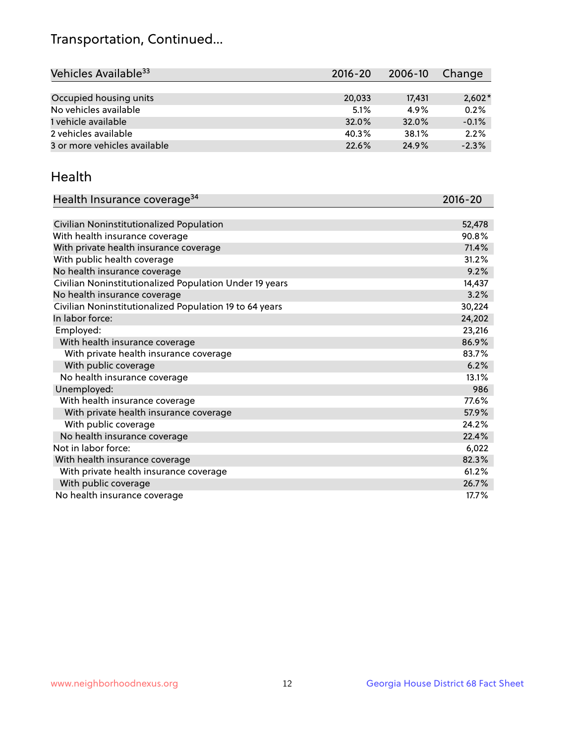## Transportation, Continued...

| Vehicles Available <sup>33</sup> | $2016 - 20$ | 2006-10 | Change   |
|----------------------------------|-------------|---------|----------|
|                                  |             |         |          |
| Occupied housing units           | 20,033      | 17.431  | $2,602*$ |
| No vehicles available            | 5.1%        | 4.9%    | 0.2%     |
| 1 vehicle available              | 32.0%       | 32.0%   | $-0.1%$  |
| 2 vehicles available             | 40.3%       | 38.1%   | 2.2%     |
| 3 or more vehicles available     | 22.6%       | 24.9%   | $-2.3%$  |

#### Health

| Health Insurance coverage <sup>34</sup>                 | 2016-20 |
|---------------------------------------------------------|---------|
|                                                         |         |
| Civilian Noninstitutionalized Population                | 52,478  |
| With health insurance coverage                          | 90.8%   |
| With private health insurance coverage                  | 71.4%   |
| With public health coverage                             | 31.2%   |
| No health insurance coverage                            | 9.2%    |
| Civilian Noninstitutionalized Population Under 19 years | 14,437  |
| No health insurance coverage                            | 3.2%    |
| Civilian Noninstitutionalized Population 19 to 64 years | 30,224  |
| In labor force:                                         | 24,202  |
| Employed:                                               | 23,216  |
| With health insurance coverage                          | 86.9%   |
| With private health insurance coverage                  | 83.7%   |
| With public coverage                                    | 6.2%    |
| No health insurance coverage                            | 13.1%   |
| Unemployed:                                             | 986     |
| With health insurance coverage                          | 77.6%   |
| With private health insurance coverage                  | 57.9%   |
| With public coverage                                    | 24.2%   |
| No health insurance coverage                            | 22.4%   |
| Not in labor force:                                     | 6,022   |
| With health insurance coverage                          | 82.3%   |
| With private health insurance coverage                  | 61.2%   |
| With public coverage                                    | 26.7%   |
| No health insurance coverage                            | 17.7%   |